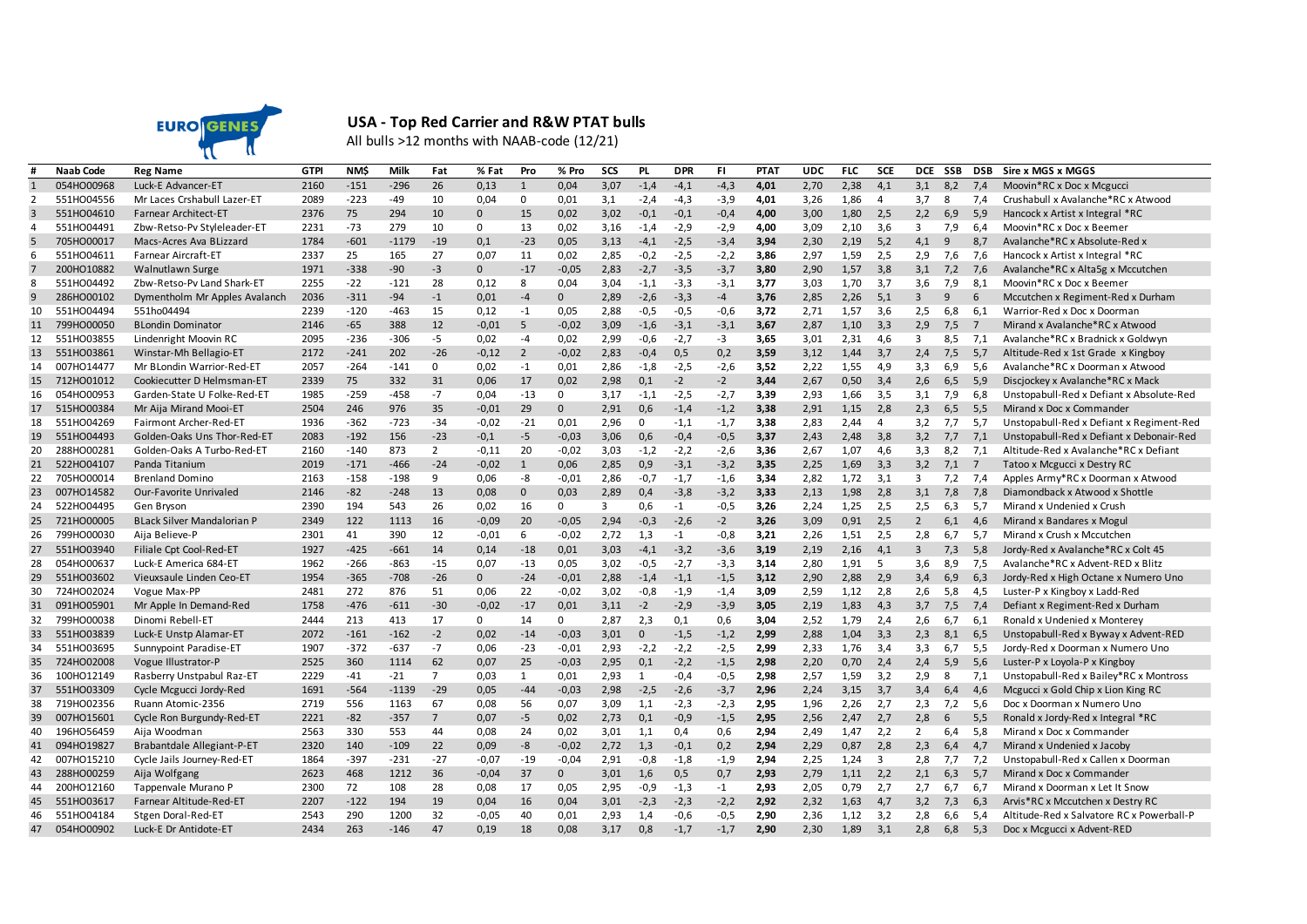

## **USA - Top Red Carrier and R&W PTAT bulls**

All bulls >12 months with NAAB-code (12/21)

|                | <b>Naab Code</b> | <b>Reg Name</b>                   | <b>GTPI</b> | <b>NM\$</b> | Milk    | Fat            | % Fat        | Pro            | % Pro        | SCS  | <b>PL</b>   | <b>DPR</b> | FI.    | <b>PTAT</b> | <b>UDC</b> | <b>FLC</b> | <b>SCE</b>     | <b>DCE</b>     | SSB | <b>DSB</b>      | Sire x MGS x MGGS                         |
|----------------|------------------|-----------------------------------|-------------|-------------|---------|----------------|--------------|----------------|--------------|------|-------------|------------|--------|-------------|------------|------------|----------------|----------------|-----|-----------------|-------------------------------------------|
|                | 054HO00968       | Luck-E Advancer-ET                | 2160        | $-151$      | $-296$  | 26             | 0,13         | $\mathbf{1}$   | 0,04         | 3,07 | $-1,4$      | $-4,1$     | $-4,3$ | 4,01        | 2,70       | 2,38       | 4,1            | 3,1            | 8.2 | 7.4             | Moovin*RC x Doc x Mcgucci                 |
|                | 551HO04556       | Mr Laces Crshabull Lazer-ET       | 2089        | $-223$      | $-49$   | 10             | 0.04         | $\mathbf 0$    | 0.01         | 3,1  | $-2,4$      | $-4,3$     | $-3,9$ | 4,01        | 3,26       | 1.86       | $\overline{4}$ | 3,7            | 8   | 7.4             | Crushabull x Avalanche*RC x Atwood        |
| 3              | 551HO04610       | <b>Farnear Architect-ET</b>       | 2376        | 75          | 294     | 10             | $\mathbf 0$  | 15             | 0.02         | 3,02 | $-0,1$      | $-0.1$     | $-0,4$ | 4,00        | 3,00       | 1,80       | 2,5            | 2,2            | 6.9 | 5.9             | Hancock x Artist x Integral *RC           |
| 4              | 551HO04491       | Zbw-Retso-Pv Styleleader-ET       | 2231        | $-73$       | 279     | 10             | $\mathbf 0$  | 13             | 0,02         | 3,16 | $-1,4$      | $-2,9$     | $-2,9$ | 4,00        | 3,09       | 2,10       | 3,6            | 3              | 7,9 | 6,4             | Moovin*RC x Doc x Beemer                  |
| 5              | 705HO00017       | Macs-Acres Ava BLizzard           | 1784        | $-601$      | $-1179$ | $-19$          | 0,1          | $-23$          | 0,05         | 3,13 | $-4,1$      | $-2,5$     | $-3,4$ | 3,94        | 2,30       | 2,19       | 5,2            | 4,1            | 9   | 8,7             | Avalanche*RC x Absolute-Red x             |
| 6              | 551HO04611       | Farnear Aircraft-ET               | 2337        | 25          | 165     | 27             | 0,07         | 11             | 0,02         | 2,85 | $-0,2$      | $-2,5$     | $-2,2$ | 3,86        | 2,97       | 1,59       | 2,5            | 2,9            | 7,6 | 7,6             | Hancock x Artist x Integral *RC           |
| $\overline{7}$ | 200HO10882       | <b>Walnutlawn Surge</b>           | 1971        | $-338$      | $-90$   | $-3$           | $\mathbf{0}$ | $-17$          | $-0,05$      | 2,83 | $-2,7$      | $-3,5$     | $-3,7$ | 3,80        | 2,90       | 1,57       | 3.8            | 3,1            | 7,2 | 7,6             | Avalanche*RC x Alta5g x Mccutchen         |
| 8              | 551HO04492       | Zbw-Retso-Pv Land Shark-ET        | 2255        | $-22$       | $-121$  | 28             | 0,12         | 8              | 0,04         | 3,04 | $-1,1$      | $-3,3$     | $-3,1$ | 3,77        | 3,03       | 1,70       | 3,7            | 3,6            | 7,9 | 8,1             | Moovin*RC x Doc x Beemer                  |
| 9              | 286HO00102       | Dymentholm Mr Apples Avalanch     | 2036        | $-311$      | $-94$   | $-1$           | 0,01         | $-4$           | $\mathbf{0}$ | 2,89 | $-2,6$      | $-3,3$     | $-4$   | 3,76        | 2,85       | 2,26       | 5,1            | 3              | 9   | 6               | Mccutchen x Regiment-Red x Durham         |
| 10             | 551HO04494       | 551ho04494                        | 2239        | $-120$      | $-463$  | 15             | 0,12         | $-1$           | 0,05         | 2,88 | $-0,5$      | $-0,5$     | $-0,6$ | 3,72        | 2,71       | 1,57       | 3,6            | 2,5            | 6.8 | 6.1             | Warrior-Red x Doc x Doorman               |
| 11             | 799HO00050       | <b>BLondin Dominator</b>          | 2146        | $-65$       | 388     | 12             | $-0,01$      | 5              | $-0,02$      | 3,09 | $-1,6$      | $-3,1$     | $-3,1$ | 3,67        | 2,87       | 1,10       | 3,3            | 2,9            | 7,5 | $7\phantom{.0}$ | Mirand x Avalanche*RC x Atwood            |
| 12             | 551HO03855       | Lindenright Moovin RC             | 2095        | $-236$      | $-306$  | $-5$           | 0.02         | $-4$           | 0,02         | 2,99 | $-0,6$      | $-2,7$     | -3     | 3,65        | 3,01       | 2,31       | 4.6            | 3              | 8.5 | 7.1             | Avalanche*RC x Bradnick x Goldwyn         |
| 13             | 551HO03861       | Winstar-Mh Bellagio-ET            | 2172        | $-241$      | 202     | $-26$          | $-0,12$      | $\overline{2}$ | $-0,02$      | 2,83 | $-0,4$      | 0,5        | 0,2    | 3,59        | 3,12       | 1,44       | 3,7            | 2,4            | 7,5 | 5,7             | Altitude-Red x 1st Grade x Kingboy        |
| 14             | 007HO14477       | Mr BLondin Warrior-Red-ET         | 2057        | $-264$      | $-141$  | 0              | 0,02         | $-1$           | 0,01         | 2,86 | $-1,8$      | $-2,5$     | $-2,6$ | 3,52        | 2,22       | 1,55       | 4,9            | 3,3            | 6,9 | 5,6             | Avalanche*RC x Doorman x Atwood           |
| 15             | 712HO01012       | Cookiecutter D Helmsman-ET        | 2339        | 75          | 332     | 31             | 0,06         | 17             | 0,02         | 2,98 | 0,1         | $-2$       | $-2$   | 3,44        | 2,67       | 0,50       | 3,4            | 2,6            | 6,5 | 5,9             | Discjockey x Avalanche*RC x Mack          |
| 16             | 054HO00953       | Garden-State U Folke-Red-ET       | 1985        | $-259$      | $-458$  | $-7$           | 0.04         | $-13$          | 0            | 3.17 | $-1.1$      | $-2,5$     | $-2,7$ | 3,39        | 2,93       | 1.66       | 3.5            | 3,1            | 7.9 | 6.8             | Unstopabull-Red x Defiant x Absolute-Red  |
| 17             | 515HO00384       | Mr Aija Mirand Mooi-ET            | 2504        | 246         | 976     | 35             | $-0,01$      | 29             | $\mathbf{0}$ | 2,91 | 0,6         | $-1,4$     | $-1,2$ | 3,38        | 2,91       | 1,15       | 2,8            | 2,3            | 6,5 | 5,5             | Mirand x Doc x Commander                  |
| 18             | 551HO04269       | Fairmont Archer-Red-ET            | 1936        | $-362$      | $-723$  | $-34$          | $-0,02$      | $-21$          | 0,01         | 2,96 | $\mathbf 0$ | $-1,1$     | $-1,7$ | 3,38        | 2,83       | 2,44       | $\overline{a}$ | 3,2            | 7.7 | 5,7             | Unstopabull-Red x Defiant x Regiment-Red  |
| 19             | 551HO04493       | Golden-Oaks Uns Thor-Red-ET       | 2083        | $-192$      | 156     | $-23$          | $-0,1$       | $-5$           | $-0,03$      | 3,06 | 0,6         | $-0,4$     | $-0,5$ | 3,37        | 2,43       | 2,48       | 3,8            | 3,2            | 7.7 | 7,1             | Unstopabull-Red x Defiant x Debonair-Red  |
| 20             | 288HO00281       | Golden-Oaks A Turbo-Red-ET        | 2160        | $-140$      | 873     | $\overline{2}$ | $-0,11$      | 20             | $-0,02$      | 3,03 | $-1,2$      | $-2,2$     | $-2,6$ | 3,36        | 2,67       | 1,07       | 4,6            | 3,3            | 8,2 | 7,1             | Altitude-Red x Avalanche*RC x Defiant     |
| 21             | 522HO04107       | Panda Titanium                    | 2019        | $-171$      | $-466$  | $-24$          | $-0,02$      | $\overline{1}$ | 0,06         | 2,85 | 0,9         | $-3,1$     | $-3,2$ | 3,35        | 2,25       | 1,69       | 3,3            | 3,2            | 7.1 | $\overline{7}$  | Tatoo x Mcgucci x Destry RC               |
| 22             | 705HO00014       | <b>Brenland Domino</b>            | 2163        | $-158$      | $-198$  | 9              | 0,06         | $-8$           | $-0,01$      | 2,86 | $-0,7$      | $-1,7$     | $-1,6$ | 3,34        | 2,82       | 1,72       | 3,1            | 3              | 7,2 | 7,4             | Apples Army*RC x Doorman x Atwood         |
| 23             | 007HO14582       | Our-Favorite Unrivaled            | 2146        | $-82$       | $-248$  | 13             | 0,08         | $\mathbf{0}$   | 0,03         | 2,89 | 0,4         | $-3,8$     | $-3,2$ | 3,33        | 2,13       | 1,98       | 2,8            | 3,1            | 7,8 | 7.8             | Diamondback x Atwood x Shottle            |
| 24             | 522HO04495       | Gen Bryson                        | 2390        | 194         | 543     | 26             | 0,02         | 16             | 0            | 3    | 0,6         | $-1$       | $-0,5$ | 3,26        | 2,24       | 1,25       | 2,5            | 2,5            | 6,3 | 5,7             | Mirand x Undenied x Crush                 |
| 25             | 721HO00005       | <b>BLack Silver Mandalorian P</b> | 2349        | 122         | 1113    | 16             | $-0.09$      | 20             | $-0,05$      | 2,94 | $-0,3$      | $-2.6$     | $-2$   | 3,26        | 3,09       | 0.91       | 2,5            | $\overline{2}$ | 6.1 | 4.6             | Mirand x Bandares x Mogul                 |
| 26             | 799HO00030       | Aiia Believe-P                    | 2301        | 41          | 390     | 12             | $-0.01$      | 6              | $-0,02$      | 2,72 | 1,3         | $-1$       | $-0,8$ | 3,21        | 2,26       | 1,51       | 2,5            | 2,8            | 6.7 | 5.7             | Mirand x Crush x Mccutchen                |
| 27             | 551HO03940       | Filiale Cpt Cool-Red-ET           | 1927        | $-425$      | $-661$  | 14             | 0,14         | $-18$          | 0,01         | 3,03 | $-4,1$      | $-3,2$     | $-3,6$ | 3,19        | 2,19       | 2,16       | 4,1            | 3              | 7,3 | 5.8             | Jordy-Red x Avalanche*RC x Colt 45        |
| 28             | 054HO00637       | Luck-E America 684-ET             | 1962        | $-266$      | $-863$  | $-15$          | 0,07         | $-13$          | 0,05         | 3,02 | $-0,5$      | $-2,7$     | $-3,3$ | 3,14        | 2,80       | 1,91       | 5              | 3,6            | 8,9 | 7,5             | Avalanche*RC x Advent-RED x Blitz         |
| 29             | 551HO03602       | Vieuxsaule Linden Ceo-ET          | 1954        | $-365$      | $-708$  | $-26$          | $\mathbf{0}$ | $-24$          | $-0,01$      | 2,88 | $-1,4$      | $-1,1$     | $-1,5$ | 3,12        | 2,90       | 2,88       | 2,9            | 3,4            | 6,9 | 6,3             | Jordy-Red x High Octane x Numero Uno      |
| 30             | 724HO02024       | Vogue Max-PP                      | 2481        | 272         | 876     | 51             | 0,06         | 22             | $-0,02$      | 3,02 | $-0,8$      | $-1,9$     | $-1,4$ | 3,09        | 2,59       | 1,12       | 2,8            | 2,6            | 5,8 | 4,5             | Luster-P x Kingboy x Ladd-Red             |
| 31             | 091HO05901       | Mr Apple In Demand-Red            | 1758        | $-476$      | $-611$  | $-30$          | $-0,02$      | $-17$          | 0,01         | 3,11 | $-2$        | $-2,9$     | $-3,9$ | 3,05        | 2,19       | 1,83       | 4.3            | 3,7            | 7,5 | 7.4             | Defiant x Regiment-Red x Durham           |
| 32             | 799HO00038       | Dinomi Rebell-ET                  | 2444        | 213         | 413     | 17             | 0            | 14             | 0            | 2,87 | 2,3         | 0,1        | 0,6    | 3,04        | 2,52       | 1,79       | 2,4            | 2,6            | 6,7 | 6,1             | Ronald x Undenied x Monterey              |
| 33             | 551HO03839       | Luck-E Unstp Alamar-ET            | 2072        | $-161$      | $-162$  | $-2$           | 0,02         | $-14$          | $-0,03$      | 3,01 | $\Omega$    | $-1,5$     | $-1,2$ | 2,99        | 2,88       | 1,04       | 3,3            | 2,3            | 8,1 | 6,5             | Unstopabull-Red x Byway x Advent-RED      |
| 34             | 551HO03695       | Sunnypoint Paradise-ET            | 1907        | $-372$      | $-637$  | $-7$           | 0.06         | $-23$          | $-0,01$      | 2,93 | $-2,2$      | $-2,2$     | $-2,5$ | 2,99        | 2,33       | 1.76       | 3.4            | 3,3            | 6.7 | 5,5             | Jordy-Red x Doorman x Numero Uno          |
| 35             | 724HO02008       | Vogue Illustrator-P               | 2525        | 360         | 1114    | 62             | 0,07         | 25             | $-0,03$      | 2,95 | 0,1         | $-2,2$     | $-1,5$ | 2,98        | 2,20       | 0,70       | 2,4            | 2,4            | 5,9 | 5,6             | Luster-P x Loyola-P x Kingboy             |
| 36             | 100HO12149       | Rasberry Unstpabul Raz-ET         | 2229        | $-41$       | $-21$   | $\overline{7}$ | 0.03         | 1              | 0,01         | 2,93 | 1           | $-0.4$     | $-0,5$ | 2,98        | 2,57       | 1,59       | 3,2            | 2,9            | 8   | 7,1             | Unstopabull-Red x Bailey*RC x Montross    |
| 37             | 551HO03309       | Cycle Mcgucci Jordy-Red           | 1691        | $-564$      | $-1139$ | $-29$          | 0,05         | $-44$          | $-0,03$      | 2,98 | $-2,5$      | $-2,6$     | $-3,7$ | 2,96        | 2,24       | 3,15       | 3,7            | 3,4            | 6,4 | 4,6             | Mcgucci x Gold Chip x Lion King RC        |
| 38             | 719HO02356       | Ruann Atomic-2356                 | 2719        | 556         | 1163    | 67             | 0,08         | 56             | 0,07         | 3,09 | 1,1         | $-2,3$     | $-2,3$ | 2,95        | 1,96       | 2,26       | 2,7            | 2,3            | 7,2 | 5,6             | Doc x Doorman x Numero Uno                |
| 39             | 007HO15601       | Cycle Ron Burgundy-Red-ET         | 2221        | $-82$       | $-357$  | $\overline{7}$ | 0,07         | $-5$           | 0,02         | 2,73 | 0,1         | $-0,9$     | $-1,5$ | 2,95        | 2,56       | 2,47       | 2,7            | 2,8            | 6   | 5,5             | Ronald x Jordy-Red x Integral *RC         |
| 40             | 196HO56459       | Aija Woodman                      | 2563        | 330         | 553     | 44             | 0.08         | 24             | 0,02         | 3,01 | 1,1         | 0.4        | 0,6    | 2,94        | 2,49       | 1.47       | 2,2            | $\overline{2}$ | 6.4 | 5.8             | Mirand x Doc x Commander                  |
| 41             | 094HO19827       | Brabantdale Allegiant-P-ET        | 2320        | 140         | $-109$  | 22             | 0,09         | $-8$           | $-0,02$      | 2,72 | 1,3         | $-0,1$     | 0,2    | 2,94        | 2,29       | 0,87       | 2,8            | 2,3            | 6,4 | 4,7             | Mirand x Undenied x Jacoby                |
| 42             | 007HO15210       | Cycle Jails Journey-Red-ET        | 1864        | $-397$      | $-231$  | $-27$          | $-0,07$      | $-19$          | $-0,04$      | 2,91 | $-0,8$      | $-1,8$     | $-1,9$ | 2,94        | 2,25       | 1,24       | 3              | 2,8            | 7,7 | 7,2             | Unstopabull-Red x Callen x Doorman        |
| 43             | 288HO00259       | Aija Wolfgang                     | 2623        | 468         | 1212    | 36             | $-0.04$      | 37             | $\mathbf{0}$ | 3,01 | 1,6         | 0,5        | 0,7    | 2,93        | 2,79       | 1.11       | 2.2            | 2,1            | 6.3 | 5.7             | Mirand x Doc x Commander                  |
| 44             | 200HO12160       | Tappenvale Murano P               | 2300        | 72          | 108     | 28             | 0,08         | 17             | 0,05         | 2,95 | $-0,9$      | $-1,3$     | $-1$   | 2,93        | 2,05       | 0,79       | 2,7            | 2,7            | 6.7 | 6,7             | Mirand x Doorman x Let It Snow            |
| 45             | 551HO03617       | Farnear Altitude-Red-ET           | 2207        | $-122$      | 194     | 19             | 0,04         | 16             | 0,04         | 3,01 | $-2,3$      | $-2,3$     | $-2,2$ | 2.92        | 2,32       | 1,63       | 4.7            | 3,2            | 7,3 | 6.3             | Arvis*RC x Mccutchen x Destry RC          |
| 46             | 551HO04184       | Stgen Doral-Red-ET                | 2543        | 290         | 1200    | 32             | $-0,05$      | 40             | 0,01         | 2,93 | 1,4         | $-0,6$     | $-0,5$ | 2,90        | 2,36       | 1,12       | 3,2            | 2,8            | 6,6 | 5,4             | Altitude-Red x Salvatore RC x Powerball-P |
|                | 47 054HO00902    | Luck-E Dr Antidote-ET             | 2434        | 263         | $-146$  | 47             | 0,19         | 18             | 0,08         | 3,17 | 0,8         | $-1.7$     | $-1,7$ | 2,90        | 2,30       | 1,89       | 3,1            | 2,8            | 6,8 | 5,3             | Doc x Mcgucci x Advent-RED                |
|                |                  |                                   |             |             |         |                |              |                |              |      |             |            |        |             |            |            |                |                |     |                 |                                           |